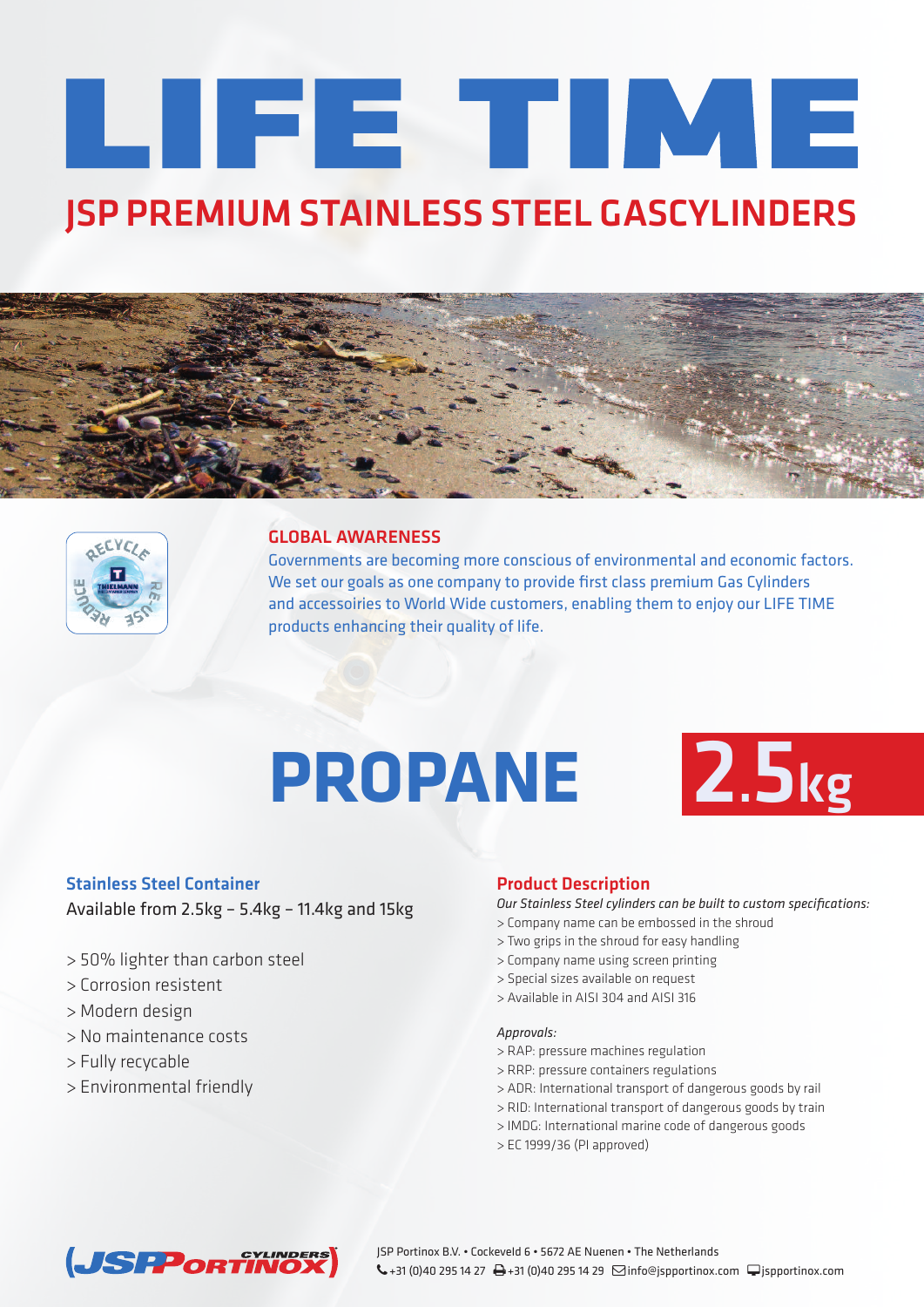# LIFE TIME **JSP PREMIUM STAINLESS STEEL GASCYLINDERS**





#### **GLOBAL AWARENESS**

Governments are becoming more conscious of environmental and economic factors. We set our goals as one company to provide first class premium Gas Cylinders and accessoiries to World Wide customers, enabling them to enjoy our LIFE TIME products enhancing their quality of life.

## **PROPANE 2.5kg**



#### **Stainless Steel Container**

Available from 2.5kg – 5.4kg – 11.4kg and 15kg

- > 50% lighter than carbon steel
- > Corrosion resistent
- > Modern design
- > No maintenance costs
- > Fully recycable
- > Environmental friendly

### **Product Description**

*Our Stainless Steel cylinders can be built to custom specifications:*

- > Company name can be embossed in the shroud
- > Two grips in the shroud for easy handling
- > Company name using screen printing
- > Special sizes available on request
- > Available in AISI 304 and AISI 316

#### *Approvals:*

- > RAP: pressure machines regulation
- > RRP: pressure containers regulations
- > ADR: International transport of dangerous goods by rail
- > RID: International transport of dangerous goods by train
- > IMDG: International marine code of dangerous goods
- > EC 1999/36 (PI approved)